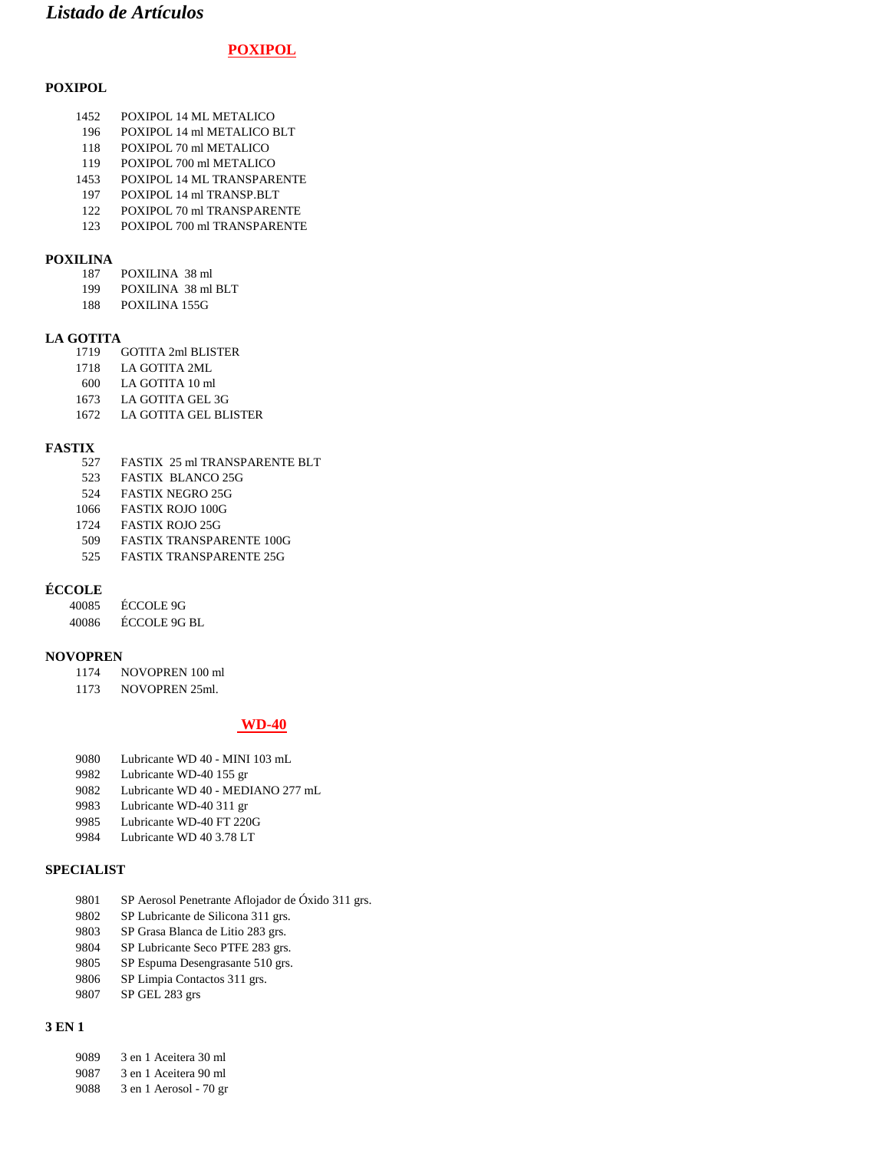## *Listado de Artículos*

### **POXIPOL**

#### **POXIPOL**

- POXIPOL 14 ML METALICO
- POXIPOL 14 ml METALICO BLT
- POXIPOL 70 ml METALICO
- POXIPOL 700 ml METALICO
- POXIPOL 14 ML TRANSPARENTE
- POXIPOL 14 ml TRANSP.BLT
- POXIPOL 70 ml TRANSPARENTE POXIPOL 700 ml TRANSPARENTE
- 

## **POXILINA**

- POXILINA 38 ml
- POXILINA 38 ml BLT
- POXILINA 155G

## **LA GOTITA**

- GOTITA 2ml BLISTER
- LA GOTITA 2ML
- LA GOTITA 10 ml
- LA GOTITA GEL 3G
- LA GOTITA GEL BLISTER

## **FASTIX** 527

- FASTIX 25 ml TRANSPARENTE BLT
- FASTIX BLANCO 25G
- FASTIX NEGRO 25G
- FASTIX ROJO 100G
- FASTIX ROJO 25G
- FASTIX TRANSPARENTE 100G
- FASTIX TRANSPARENTE 25G

#### **ÉCCOLE**

| 40085 | ECCOLE 9G           |
|-------|---------------------|
| 40086 | <b>ECCOLE 9G BL</b> |

# **NOVOPREN**

- NOVOPREN 100 ml
- NOVOPREN 25ml.

#### **WD-40**

- Lubricante WD 40 MINI 103 mL
- Lubricante WD-40 155 gr
- 9082 Lubricante WD 40 MEDIANO 277 mL<br>9983 Lubricante WD-40 311 gr
- Lubricante WD-40 311 gr
- Lubricante WD-40 FT 220G
- Lubricante WD 40 3.78 LT

#### **SPECIALIST**

- SP Aerosol Penetrante Aflojador de Óxido 311 grs.
- SP Lubricante de Silicona 311 grs.
- SP Grasa Blanca de Litio 283 grs.
- SP Lubricante Seco PTFE 283 grs.
- SP Espuma Desengrasante 510 grs.
- SP Limpia Contactos 311 grs.
- SP GEL 283 grs

#### **3 EN 1**

- 3 en 1 Aceitera 30 ml
- 3 en 1 Aceitera 90 ml
- 3 en 1 Aerosol 70 gr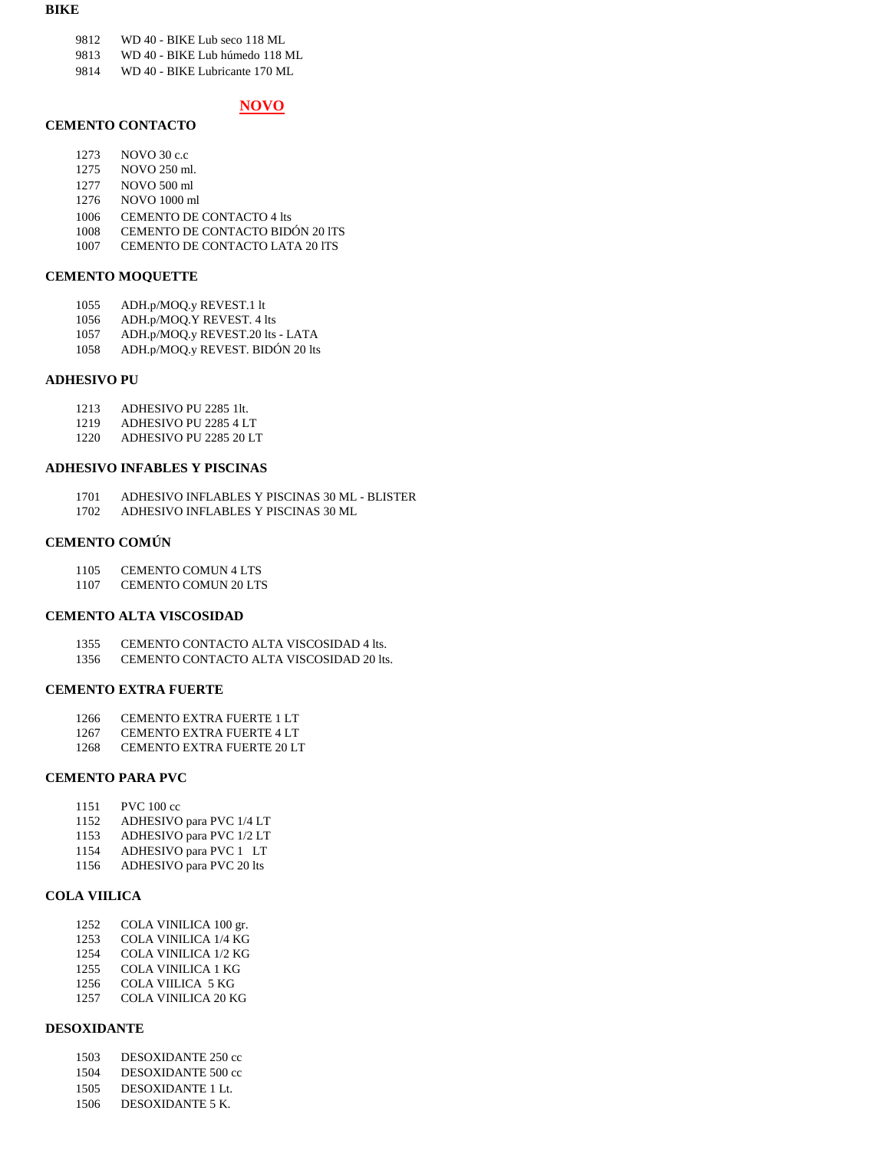#### **BIKE**

- 9812 WD 40 BIKE Lub seco 118 ML
- 9813 WD 40 BIKE Lub húmedo 118 ML
- 9814 WD 40 BIKE Lubricante 170 ML

### **NOVO**

#### **CEMENTO CONTACTO**

- 1273 NOVO 30 c.c
- 1275 NOVO 250 ml.
- 1277 NOVO 500 ml
- 1276 NOVO 1000 ml
- 1006 CEMENTO DE CONTACTO 4 lts<br>1008 CEMENTO DE CONTACTO BID
- 1008 CEMENTO DE CONTACTO BIDÓN 20 ITS<br>1007 CEMENTO DE CONTACTO LATA 20 ITS
- CEMENTO DE CONTACTO LATA 20 ITS

#### **CEMENTO MOQUETTE**

- 1055 ADH.p/MOQ.y REVEST.1 lt
- 1056 ADH.p/MOQ.Y REVEST. 4 lts<br>1057 ADH.p/MOO.v REVEST.20 lts
- 1057 ADH.p/MOQ.y REVEST.20 lts LATA
- 1058 ADH.p/MOQ.y REVEST. BIDÓN 20 lts

#### **ADHESIVO PU**

- 1213 ADHESIVO PU 2285 11t.<br>1219 ADHESIVO PU 2285 4 L
- 1219 ADHESIVO PU 2285 4 LT<br>1220 ADHESIVO PU 2285 20 L'
- 1220 ADHESIVO PU 2285 20 LT

#### **ADHESIVO INFABLES Y PISCINAS**

- 1701 ADHESIVO INFLABLES Y PISCINAS 30 ML BLISTER
- 1702 ADHESIVO INFLABLES Y PISCINAS 30 ML

#### **CEMENTO COMÚN**

- 1105 CEMENTO COMUN 4 LTS
- 1107 CEMENTO COMUN 20 LTS

#### **CEMENTO ALTA VISCOSIDAD**

- 1355 CEMENTO CONTACTO ALTA VISCOSIDAD 4 lts.
- 1356 CEMENTO CONTACTO ALTA VISCOSIDAD 20 lts.

#### **CEMENTO EXTRA FUERTE**

- 1266 CEMENTO EXTRA FUERTE 1 LT
- 1267 CEMENTO EXTRA FUERTE 4 LT
- 1268 CEMENTO EXTRA FUERTE 20 LT

#### **CEMENTO PARA PVC**

- 1151 PVC 100 cc<br>1152 ADHESIVO
- ADHESIVO para PVC 1/4 LT
- 1153 ADHESIVO para PVC 1/2 LT
- 1154 ADHESIVO para PVC 1 LT
- 1156 ADHESIVO para PVC 20 lts

#### **COLA VIILICA**

- 1252 COLA VINILICA 100 gr.
- 1253 COLA VINILICA 1/4 KG
- 1254 COLA VINILICA 1/2 KG
- 1255 COLA VINILICA 1 KG
- 1256 COLA VIILICA 5 KG<br>1257 COLA VINILICA 20 K
- COLA VINILICA 20 KG

#### **DESOXIDANTE**

- 1503 DESOXIDANTE 250 cc
- 1504 DESOXIDANTE 500 cc
- 1505 DESOXIDANTE 1 Lt.
- 1506 DESOXIDANTE 5 K.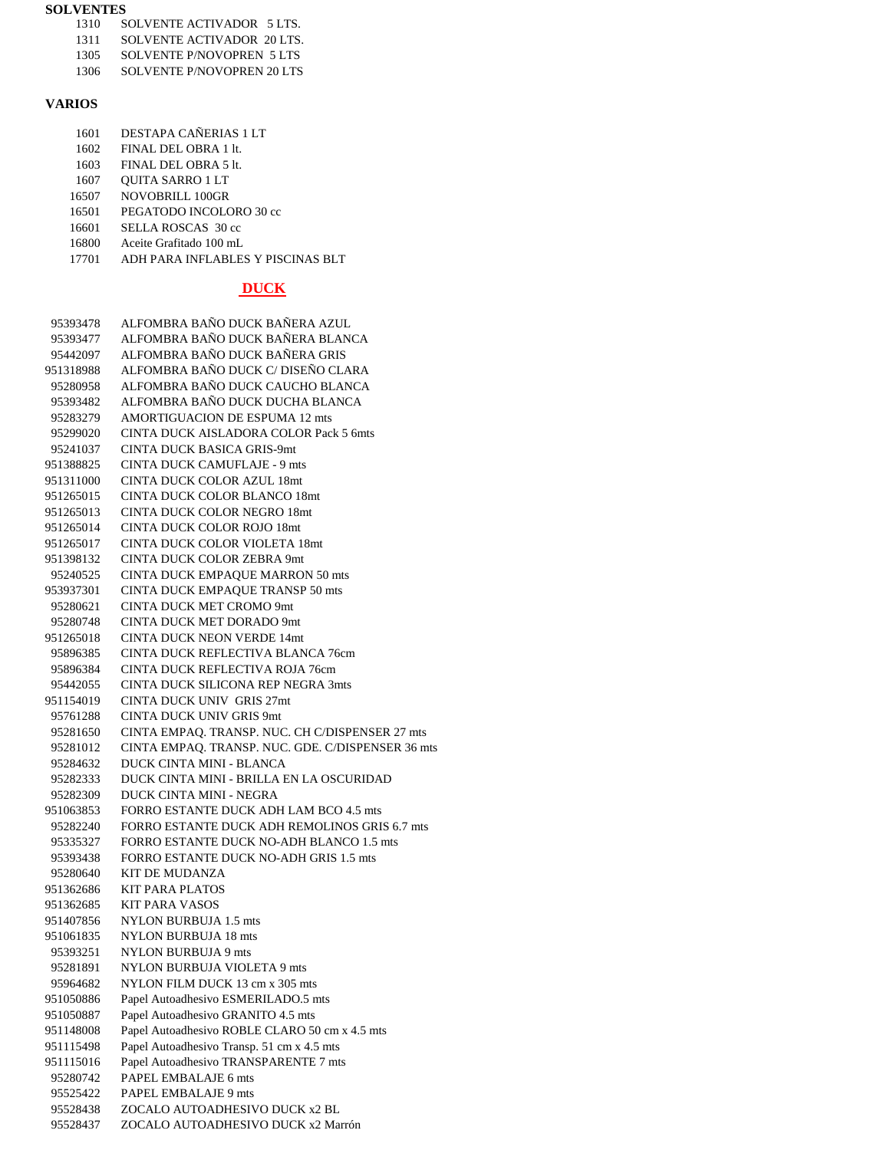#### **SOLVENTES**

- 1310 SOLVENTE ACTIVADOR 5 LTS.<br>1311 SOLVENTE ACTIVADOR 20 LTS.
- 1311 SOLVENTE ACTIVADOR 20 LTS.<br>1305 SOLVENTE P/NOVOPREN 5 LTS
- 1305 SOLVENTE P/NOVOPREN 5 LTS<br>1306 SOLVENTE P/NOVOPREN 20 LTS
- SOLVENTE P/NOVOPREN 20 LTS

## **VARIOS**

| 1601  | DESTAPA CAÑERIAS 1 LT             |
|-------|-----------------------------------|
| 1602  | FINAL DEL OBRA 1 lt.              |
| 1603  | $FINAI$ . DEL. OBRA 5 lt.         |
| 1607  | <b>OUITA SARRO 1 LT</b>           |
| 16507 | NOVOBRILL 100GR                   |
| 16501 | PEGATODO INCOLORO 30 cc           |
| 16601 | SELLA ROSCAS 30 cc                |
| 16800 | Aceite Grafitado 100 mL           |
| 17701 | ADH PARA INFLABLES Y PISCINAS BLT |
|       |                                   |

## **DUCK**

| 95393478  | ALFOMBRA BAÑO DUCK BAÑERA AZUL<br>ALFOMBRA BAÑO DUCK BAÑERA BLANCA |
|-----------|--------------------------------------------------------------------|
| 95393477  | ALFOMBRA BAÑO DUCK BAÑERA GRIS                                     |
| 95442097  | ALFOMBRA BAÑO DUCK C/ DISEÑO CLARA                                 |
| 951318988 |                                                                    |
| 95280958  | ALFOMBRA BAÑO DUCK CAUCHO BLANCA                                   |
| 95393482  | ALFOMBRA BAÑO DUCK DUCHA BLANCA                                    |
| 95283279  | <b>AMORTIGUACION DE ESPUMA 12 mts</b>                              |
| 95299020  | CINTA DUCK AISLADORA COLOR Pack 5 6mts                             |
| 95241037  | CINTA DUCK BASICA GRIS-9mt                                         |
| 951388825 | <b>CINTA DUCK CAMUFLAJE - 9 mts</b>                                |
| 951311000 | <b>CINTA DUCK COLOR AZUL 18mt</b>                                  |
| 951265015 | <b>CINTA DUCK COLOR BLANCO 18mt</b>                                |
| 951265013 | <b>CINTA DUCK COLOR NEGRO 18mt</b>                                 |
| 951265014 | <b>CINTA DUCK COLOR ROJO 18mt</b>                                  |
| 951265017 | CINTA DUCK COLOR VIOLETA 18mt                                      |
| 951398132 | <b>CINTA DUCK COLOR ZEBRA 9mt</b>                                  |
| 95240525  | CINTA DUCK EMPAQUE MARRON 50 mts                                   |
| 953937301 | CINTA DUCK EMPAQUE TRANSP 50 mts                                   |
| 95280621  | <b>CINTA DUCK MET CROMO 9mt</b>                                    |
| 95280748  | <b>CINTA DUCK MET DORADO 9mt</b>                                   |
| 951265018 | <b>CINTA DUCK NEON VERDE 14mt</b>                                  |
| 95896385  | CINTA DUCK REFLECTIVA BLANCA 76cm                                  |
| 95896384  | CINTA DUCK REFLECTIVA ROJA 76cm                                    |
| 95442055  | CINTA DUCK SILICONA REP NEGRA 3mts                                 |
| 951154019 | <b>CINTA DUCK UNIV GRIS 27mt</b>                                   |
| 95761288  | <b>CINTA DUCK UNIV GRIS 9mt</b>                                    |
| 95281650  | CINTA EMPAQ. TRANSP. NUC. CH C/DISPENSER 27 mts                    |
| 95281012  | CINTA EMPAQ. TRANSP. NUC. GDE. C/DISPENSER 36 mts                  |
| 95284632  | <b>DUCK CINTA MINI - BLANCA</b>                                    |
|           |                                                                    |
| 95282333  | DUCK CINTA MINI - BRILLA EN LA OSCURIDAD                           |
| 95282309  | <b>DUCK CINTA MINI - NEGRA</b>                                     |
| 951063853 | FORRO ESTANTE DUCK ADH LAM BCO 4.5 mts                             |
| 95282240  | FORRO ESTANTE DUCK ADH REMOLINOS GRIS 6.7 mts                      |
| 95335327  | FORRO ESTANTE DUCK NO-ADH BLANCO 1.5 mts                           |
| 95393438  | FORRO ESTANTE DUCK NO-ADH GRIS 1.5 mts                             |
| 95280640  | <b>KIT DE MUDANZA</b>                                              |
| 951362686 | <b>KIT PARA PLATOS</b>                                             |
| 951362685 | <b>KIT PARA VASOS</b>                                              |
| 951407856 | NYLON BURBUJA 1.5 mts                                              |
| 951061835 | <b>NYLON BURBUJA 18 mts</b>                                        |
| 95393251  | <b>NYLON BURBUJA 9 mts</b>                                         |
| 95281891  | NYLON BURBUJA VIOLETA 9 mts                                        |
| 95964682  | NYLON FILM DUCK 13 cm x 305 mts                                    |
| 951050886 | Papel Autoadhesivo ESMERILADO.5 mts                                |
| 951050887 | Papel Autoadhesivo GRANITO 4.5 mts                                 |
| 951148008 | Papel Autoadhesivo ROBLE CLARO 50 cm x 4.5 mts                     |
| 951115498 | Papel Autoadhesivo Transp. 51 cm x 4.5 mts                         |
| 951115016 | Papel Autoadhesivo TRANSPARENTE 7 mts                              |
| 95280742  | PAPEL EMBALAJE 6 mts                                               |
| 95525422  | PAPEL EMBALAJE 9 mts                                               |
| 95528438  | ZOCALO AUTOADHESIVO DUCK x2 BL                                     |